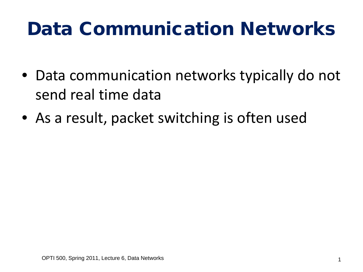### Data Communication Networks

- Data communication networks typically do not send real time data
- As a result, packet switching is often used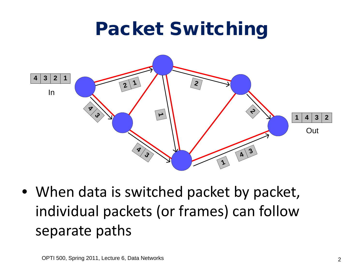#### Packet Switching



• When data is switched packet by packet, individual packets (or frames) can follow separate paths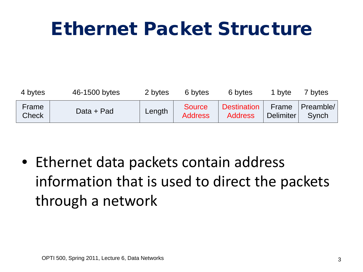#### Ethernet Packet Structure

| 4 bytes               | 46-1500 bytes | 2 bytes | 6 bytes                         | 6 bytes                       | 1 byte      | 7 bytes                         |
|-----------------------|---------------|---------|---------------------------------|-------------------------------|-------------|---------------------------------|
| Frame<br><b>Check</b> | Data + Pad    | Length  | <b>Source</b><br><b>Address</b> | Destination<br><b>Address</b> | ' Delimiter | Frame Preamble/<br><b>Synch</b> |

• Ethernet data packets contain address information that is used to direct the packets through a network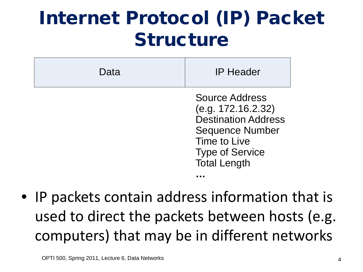#### Internet Protocol (IP) Packet Structure

| Data | <b>IP Header</b>                                                                                                                                              |  |
|------|---------------------------------------------------------------------------------------------------------------------------------------------------------------|--|
|      | Source Address<br>(e.g. 172.16.2.32)<br><b>Destination Address</b><br><b>Sequence Number</b><br>Time to Live<br><b>Type of Service</b><br><b>Total Length</b> |  |
|      |                                                                                                                                                               |  |

• IP packets contain address information that is used to direct the packets between hosts (e.g. computers) that may be in different networks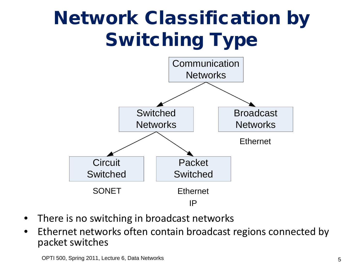# Network Classification by Switching Type



- There is no switching in broadcast networks
- Ethernet networks often contain broadcast regions connected by packet switches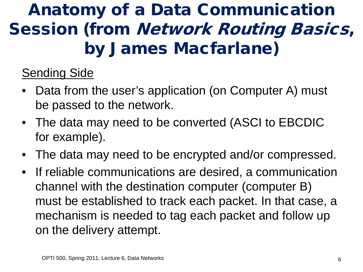#### Anatomy of a Data Communication Session (from Network Routing Basics, by James Macfarlane)

#### Sending Side

- Data from the user's application (on Computer A) must be passed to the network.
- The data may need to be converted (ASCI to EBCDIC for example).
- The data may need to be encrypted and/or compressed.
- If reliable communications are desired, a communication channel with the destination computer (computer B) must be established to track each packet. In that case, a mechanism is needed to tag each packet and follow up on the delivery attempt.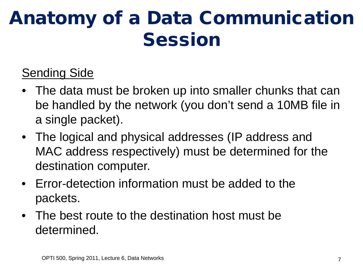#### Sending Side

- The data must be broken up into smaller chunks that can be handled by the network (you don't send a 10MB file in a single packet).
- The logical and physical addresses (IP address and MAC address respectively) must be determined for the destination computer.
- Error-detection information must be added to the packets.
- The best route to the destination host must be determined.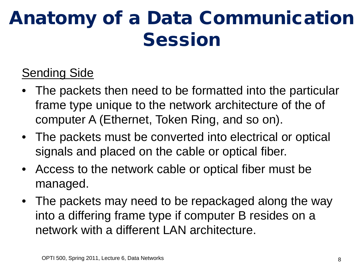#### Sending Side

- The packets then need to be formatted into the particular frame type unique to the network architecture of the of computer A (Ethernet, Token Ring, and so on).
- The packets must be converted into electrical or optical signals and placed on the cable or optical fiber.
- Access to the network cable or optical fiber must be managed.
- The packets may need to be repackaged along the way into a differing frame type if computer B resides on a network with a different LAN architecture.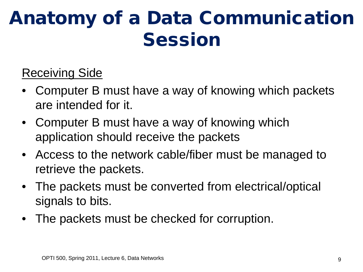#### Receiving Side

- Computer B must have a way of knowing which packets are intended for it.
- Computer B must have a way of knowing which application should receive the packets
- Access to the network cable/fiber must be managed to retrieve the packets.
- The packets must be converted from electrical/optical signals to bits.
- The packets must be checked for corruption.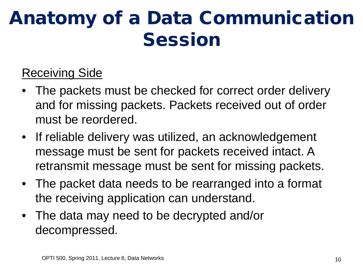#### Receiving Side

- The packets must be checked for correct order delivery and for missing packets. Packets received out of order must be reordered.
- If reliable delivery was utilized, an acknowledgement message must be sent for packets received intact. A retransmit message must be sent for missing packets.
- The packet data needs to be rearranged into a format the receiving application can understand.
- The data may need to be decrypted and/or decompressed.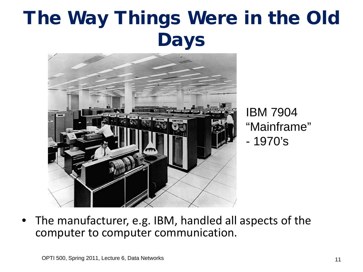# The Way Things Were in the Old Days



IBM 7904 "Mainframe" - 1970's

• The manufacturer, e.g. IBM, handled all aspects of the computer to computer communication.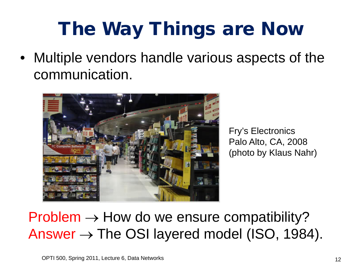# The Way Things are Now

• Multiple vendors handle various aspects of the communication.

![](_page_11_Picture_2.jpeg)

Fry's Electronics Palo Alto, CA, 2008 (photo by Klaus Nahr)

#### $Problem \rightarrow How$  do we ensure compatibility? Answer  $\rightarrow$  The OSI layered model (ISO, 1984).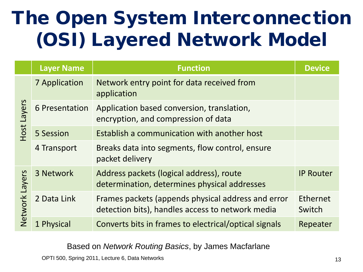# The Open System Interconnection (OSI) Layered Network Model

|                          | <b>Layer Name</b>    | <b>Function</b>                                                                                        | <b>Device</b>      |
|--------------------------|----------------------|--------------------------------------------------------------------------------------------------------|--------------------|
| Layers<br>Host           | <b>7 Application</b> | Network entry point for data received from<br>application                                              |                    |
|                          | 6 Presentation       | Application based conversion, translation,<br>encryption, and compression of data                      |                    |
|                          | 5 Session            | Establish a communication with another host                                                            |                    |
|                          | 4 Transport          | Breaks data into segments, flow control, ensure<br>packet delivery                                     |                    |
| Layers<br><b>Network</b> | 3 Network            | Address packets (logical address), route<br>determination, determines physical addresses               | <b>IP Router</b>   |
|                          | 2 Data Link          | Frames packets (appends physical address and error<br>detection bits), handles access to network media | Ethernet<br>Switch |
|                          | 1 Physical           | Converts bits in frames to electrical/optical signals                                                  | Repeater           |

Based on *Network Routing Basics*, by James Macfarlane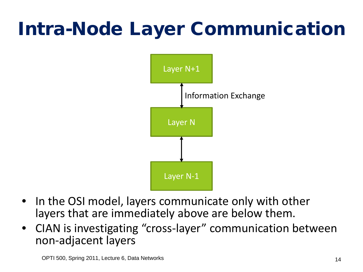# Intra-Node Layer Communication

![](_page_13_Figure_1.jpeg)

- In the OSI model, layers communicate only with other layers that are immediately above are below them.
- CIAN is investigating "cross-layer" communication between non-adjacent layers